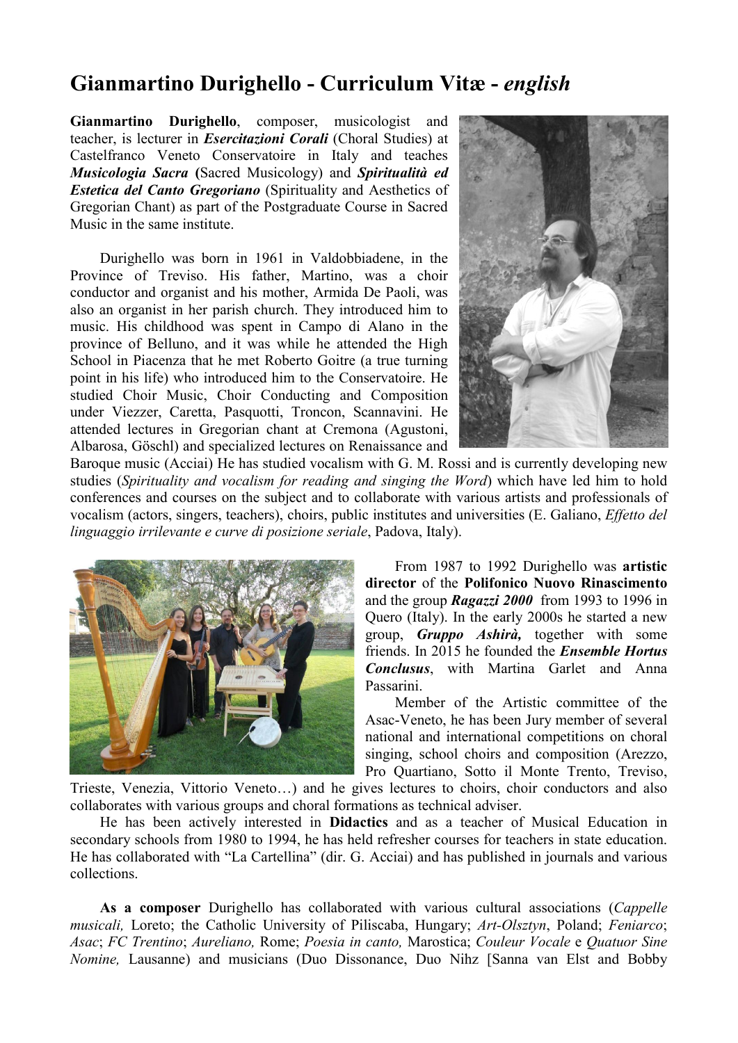# Gianmartino Durighello - Curriculum Vitæ - *english*

Gianmartino Durighello, composer, musicologist and teacher, is lecturer in *Esercitazioni Corali* (Choral Studies) at Castelfranco Veneto Conservatoire in Italy and teaches *Musicologia Sacra* (Sacred Musicology) and *Spiritualità ed Estetica del Canto Gregoriano* (Spirituality and Aesthetics of Gregorian Chant) as part of the Postgraduate Course in Sacred Music in the same institute.

Durighello was born in 1961 in Valdobbiadene, in the Province of Treviso. His father, Martino, was a choir conductor and organist and his mother, Armida De Paoli, was also an organist in her parish church. They introduced him to music. His childhood was spent in Campo di Alano in the province of Belluno, and it was while he attended the High School in Piacenza that he met Roberto Goitre (a true turning point in his life) who introduced him to the Conservatoire. He studied Choir Music, Choir Conducting and Composition under Viezzer, Caretta, Pasquotti, Troncon, Scannavini. He attended lectures in Gregorian chant at Cremona (Agustoni, Albarosa, Göschl) and specialized lectures on Renaissance and



Baroque music (Acciai) He has studied vocalism with G. M. Rossi and is currently developing new studies (*Spirituality and vocalism for reading and singing the Word*) which have led him to hold conferences and courses on the subject and to collaborate with various artists and professionals of vocalism (actors, singers, teachers), choirs, public institutes and universities (E. Galiano, *Effetto del linguaggio irrilevante e curve di posizione seriale*, Padova, Italy).



From 1987 to 1992 Durighello was artistic director of the Polifonico Nuovo Rinascimento and the group *Ragazzi 2000* from 1993 to 1996 in Quero (Italy). In the early 2000s he started a new group, *Gruppo Ashirà,* together with some friends. In 2015 he founded the *Ensemble Hortus Conclusus*, with Martina Garlet and Anna Passarini.

Member of the Artistic committee of the Asac-Veneto, he has been Jury member of several national and international competitions on choral singing, school choirs and composition (Arezzo, Pro Quartiano, Sotto il Monte Trento, Treviso,

Trieste, Venezia, Vittorio Veneto…) and he gives lectures to choirs, choir conductors and also collaborates with various groups and choral formations as technical adviser.

He has been actively interested in Didactics and as a teacher of Musical Education in secondary schools from 1980 to 1994, he has held refresher courses for teachers in state education. He has collaborated with "La Cartellina" (dir. G. Acciai) and has published in journals and various collections.

As a composer Durighello has collaborated with various cultural associations (*Cappelle musicali,* Loreto; the Catholic University of Piliscaba, Hungary; *Art-Olsztyn*, Poland; *Feniarco*; *Asac*; *FC Trentino*; *Aureliano,* Rome; *Poesia in canto,* Marostica; *Couleur Vocale* e *Quatuor Sine Nomine,* Lausanne) and musicians (Duo Dissonance, Duo Nihz [Sanna van Elst and Bobby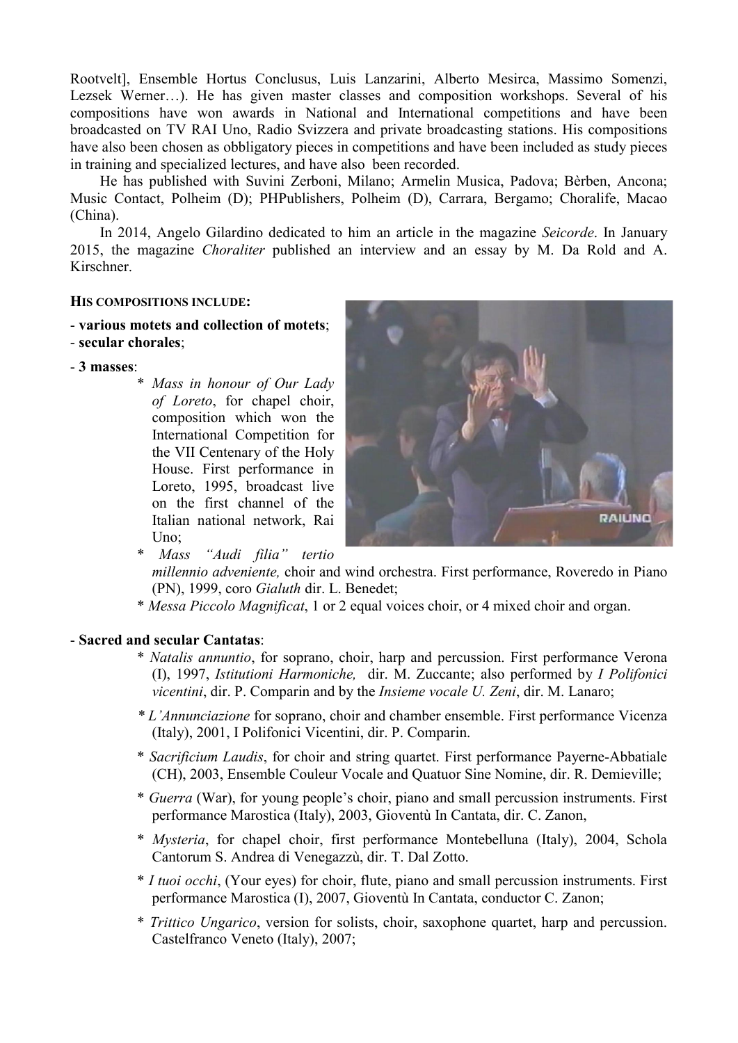Rootvelt], Ensemble Hortus Conclusus, Luis Lanzarini, Alberto Mesirca, Massimo Somenzi, Lezsek Werner…). He has given master classes and composition workshops. Several of his compositions have won awards in National and International competitions and have been broadcasted on TV RAI Uno, Radio Svizzera and private broadcasting stations. His compositions have also been chosen as obbligatory pieces in competitions and have been included as study pieces in training and specialized lectures, and have also been recorded.

He has published with Suvini Zerboni, Milano; Armelin Musica, Padova; Bèrben, Ancona; Music Contact, Polheim (D); PHPublishers, Polheim (D), Carrara, Bergamo; Choralife, Macao (China).

In 2014, Angelo Gilardino dedicated to him an article in the magazine *Seicorde*. In January 2015, the magazine *Choraliter* published an interview and an essay by M. Da Rold and A. Kirschner.

## HIS COMPOSITIONS INCLUDE:

## - various motets and collection of motets;

- secular chorales;
- 3 masses:
	- \* *Mass in honour of Our Lady of Loreto*, for chapel choir, composition which won the International Competition for the VII Centenary of the Holy House. First performance in Loreto, 1995, broadcast live on the first channel of the Italian national network, Rai U<sub>no</sub>:



\* *Mass "Audi filia" tertio* 

*millennio adveniente,* choir and wind orchestra. First performance, Roveredo in Piano (PN), 1999, coro *Gialuth* dir. L. Benedet;

\* *Messa Piccolo Magnificat*, 1 or 2 equal voices choir, or 4 mixed choir and organ.

## - Sacred and secular Cantatas:

- \* *Natalis annuntio*, for soprano, choir, harp and percussion. First performance Verona (I), 1997, *Istitutioni Harmoniche,* dir. M. Zuccante; also performed by *I Polifonici vicentini*, dir. P. Comparin and by the *Insieme vocale U. Zeni*, dir. M. Lanaro;
- *\* L'Annunciazione* for soprano, choir and chamber ensemble. First performance Vicenza (Italy), 2001, I Polifonici Vicentini, dir. P. Comparin.
- \* *Sacrificium Laudis*, for choir and string quartet. First performance Payerne-Abbatiale (CH), 2003, Ensemble Couleur Vocale and Quatuor Sine Nomine, dir. R. Demieville;
- \* *Guerra* (War), for young people's choir, piano and small percussion instruments. First performance Marostica (Italy), 2003, Gioventù In Cantata, dir. C. Zanon,
- \* *Mysteria*, for chapel choir, first performance Montebelluna (Italy), 2004, Schola Cantorum S. Andrea di Venegazzù, dir. T. Dal Zotto.
- \* *I tuoi occhi*, (Your eyes) for choir, flute, piano and small percussion instruments. First performance Marostica (I), 2007, Gioventù In Cantata, conductor C. Zanon;
- \* *Trittico Ungarico*, version for solists, choir, saxophone quartet, harp and percussion. Castelfranco Veneto (Italy), 2007;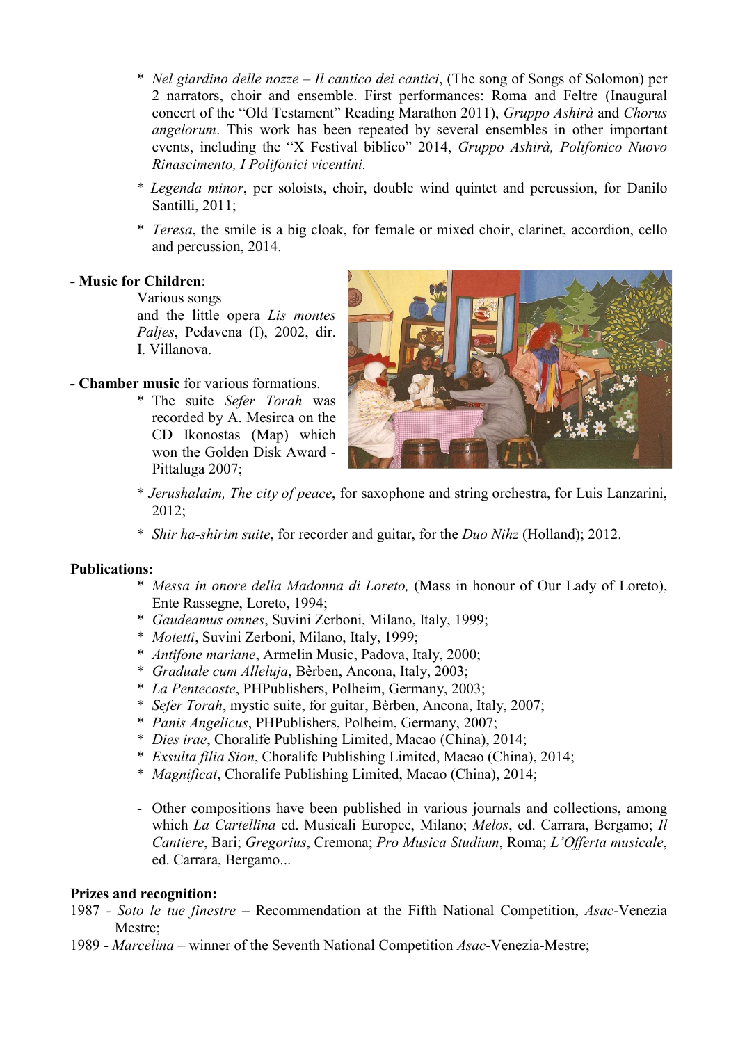- \* *Nel giardino delle nozze – Il cantico dei cantici*, (The song of Songs of Solomon) per 2 narrators, choir and ensemble. First performances: Roma and Feltre (Inaugural concert of the "Old Testament" Reading Marathon 2011), *Gruppo Ashirà* and *Chorus angelorum*. This work has been repeated by several ensembles in other important events, including the "X Festival biblico" 2014, *Gruppo Ashirà, Polifonico Nuovo Rinascimento, I Polifonici vicentini.*
- \* *Legenda minor*, per soloists, choir, double wind quintet and percussion, for Danilo Santilli, 2011;
- \* *Teresa*, the smile is a big cloak, for female or mixed choir, clarinet, accordion, cello and percussion, 2014.

# - Music for Children:

Various songs and the little opera *Lis montes Paljes*, Pedavena (I), 2002, dir. I. Villanova.

# - Chamber music for various formations.

\* The suite *Sefer Torah* was recorded by A. Mesirca on the CD Ikonostas (Map) which won the Golden Disk Award - Pittaluga 2007;



- \* *Jerushalaim, The city of peace*, for saxophone and string orchestra, for Luis Lanzarini, 2012;
- \* *Shir ha-shirim suite*, for recorder and guitar, for the *Duo Nihz* (Holland); 2012.

## Publications:

- \* *Messa in onore della Madonna di Loreto,* (Mass in honour of Our Lady of Loreto), Ente Rassegne, Loreto, 1994;
- \* *Gaudeamus omnes*, Suvini Zerboni, Milano, Italy, 1999;
- \* *Motetti*, Suvini Zerboni, Milano, Italy, 1999;
- \* *Antifone mariane*, Armelin Music, Padova, Italy, 2000;
- \* *Graduale cum Alleluja*, Bèrben, Ancona, Italy, 2003;
- \* *La Pentecoste*, PHPublishers, Polheim, Germany, 2003;
- \* *Sefer Torah*, mystic suite, for guitar, Bèrben, Ancona, Italy, 2007;
- \* *Panis Angelicus*, PHPublishers, Polheim, Germany, 2007;
- \* *Dies irae*, Choralife Publishing Limited, Macao (China), 2014;
- \* *Exsulta filia Sion*, Choralife Publishing Limited, Macao (China), 2014;
- \* *Magnificat*, Choralife Publishing Limited, Macao (China), 2014;
- Other compositions have been published in various journals and collections, among which *La Cartellina* ed. Musicali Europee, Milano; *Melos*, ed. Carrara, Bergamo; *Il Cantiere*, Bari; *Gregorius*, Cremona; *Pro Musica Studium*, Roma; *L'Offerta musicale*, ed. Carrara, Bergamo...

## Prizes and recognition:

- 1987 *- Soto le tue finestre* Recommendation at the Fifth National Competition, *Asac*-Venezia Mestre;
- 1989 *Marcelina* winner of the Seventh National Competition *Asac*-Venezia-Mestre;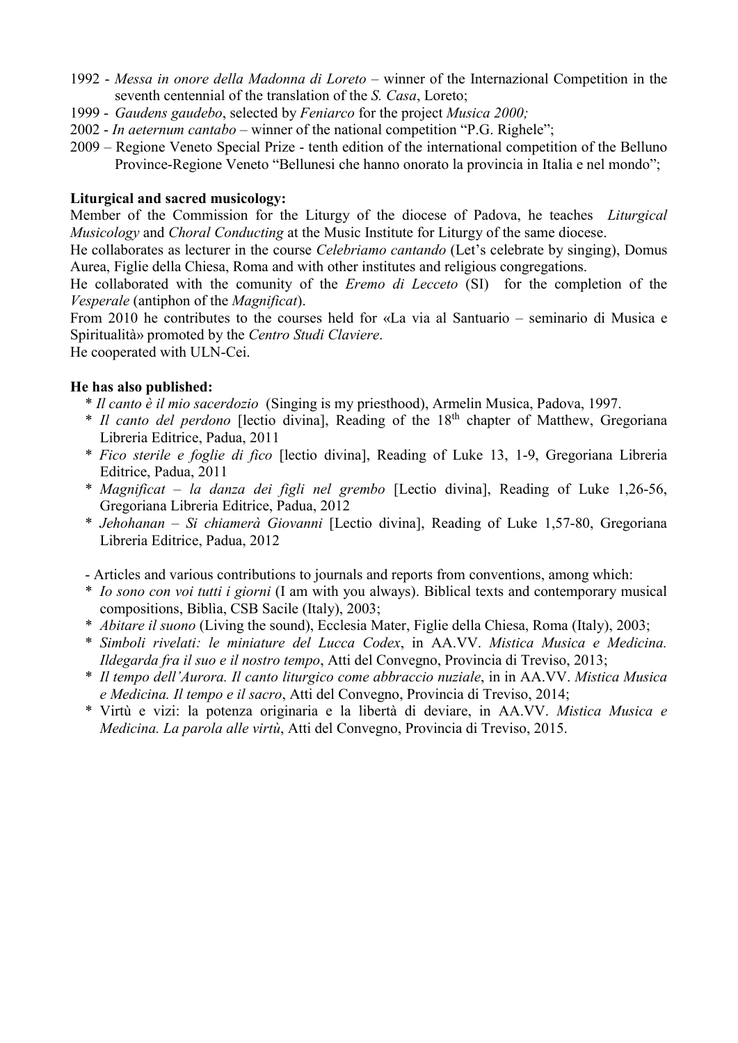- 1992 *Messa in onore della Madonna di Loreto* winner of the Internazional Competition in the seventh centennial of the translation of the *S. Casa*, Loreto;
- 1999 *Gaudens gaudebo*, selected by *Feniarco* for the project *Musica 2000;*
- 2002 *In aeternum cantabo* winner of the national competition "P.G. Righele";
- 2009 Regione Veneto Special Prize tenth edition of the international competition of the Belluno Province-Regione Veneto "Bellunesi che hanno onorato la provincia in Italia e nel mondo";

# Liturgical and sacred musicology:

Member of the Commission for the Liturgy of the diocese of Padova, he teaches *Liturgical Musicology* and *Choral Conducting* at the Music Institute for Liturgy of the same diocese.

He collaborates as lecturer in the course *Celebriamo cantando* (Let's celebrate by singing), Domus Aurea, Figlie della Chiesa, Roma and with other institutes and religious congregations.

He collaborated with the comunity of the *Eremo di Lecceto* (SI) for the completion of the *Vesperale* (antiphon of the *Magnificat*).

From 2010 he contributes to the courses held for «La via al Santuario – seminario di Musica e Spiritualità» promoted by the *Centro Studi Claviere*.

He cooperated with ULN-Cei.

# He has also published:

- \* *Il canto è il mio sacerdozio* (Singing is my priesthood), Armelin Musica, Padova, 1997.
- \* *Il canto del perdono* [lectio divina], Reading of the 18th chapter of Matthew, Gregoriana Libreria Editrice, Padua, 2011
- \* *Fico sterile e foglie di fico* [lectio divina], Reading of Luke 13, 1-9, Gregoriana Libreria Editrice, Padua, 2011
- \* *Magnificat – la danza dei figli nel grembo* [Lectio divina], Reading of Luke 1,26-56, Gregoriana Libreria Editrice, Padua, 2012
- \* *Jehohanan – Si chiamerà Giovanni* [Lectio divina], Reading of Luke 1,57-80, Gregoriana Libreria Editrice, Padua, 2012
- Articles and various contributions to journals and reports from conventions, among which:
- \* *Io sono con voi tutti i giorni* (I am with you always). Biblical texts and contemporary musical compositions, Biblìa, CSB Sacile (Italy), 2003;
- \* *Abitare il suono* (Living the sound), Ecclesia Mater, Figlie della Chiesa, Roma (Italy), 2003;
- \* *Simboli rivelati: le miniature del Lucca Codex*, in AA.VV. *Mistica Musica e Medicina. Ildegarda fra il suo e il nostro tempo*, Atti del Convegno, Provincia di Treviso, 2013;
- \* *Il tempo dell'Aurora. Il canto liturgico come abbraccio nuziale*, in in AA.VV. *Mistica Musica e Medicina. Il tempo e il sacro*, Atti del Convegno, Provincia di Treviso, 2014;
- \* Virtù e vizi: la potenza originaria e la libertà di deviare, in AA.VV. *Mistica Musica e Medicina. La parola alle virtù*, Atti del Convegno, Provincia di Treviso, 2015.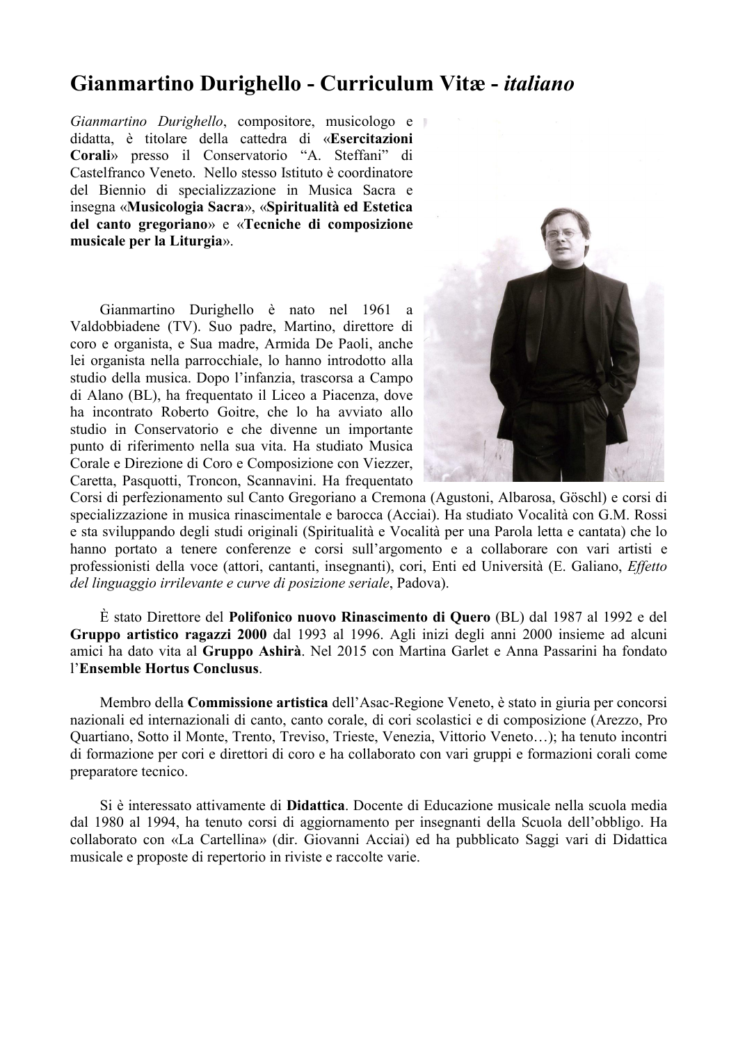# Gianmartino Durighello - Curriculum Vitæ - *italiano*

*Gianmartino Durighello*, compositore, musicologo e didatta, è titolare della cattedra di «Esercitazioni Corali» presso il Conservatorio "A. Steffani" di Castelfranco Veneto. Nello stesso Istituto è coordinatore del Biennio di specializzazione in Musica Sacra e insegna «Musicologia Sacra», «Spiritualità ed Estetica del canto gregoriano» e «Tecniche di composizione musicale per la Liturgia».

Gianmartino Durighello è nato nel 1961 a Valdobbiadene (TV). Suo padre, Martino, direttore di coro e organista, e Sua madre, Armida De Paoli, anche lei organista nella parrocchiale, lo hanno introdotto alla studio della musica. Dopo l'infanzia, trascorsa a Campo di Alano (BL), ha frequentato il Liceo a Piacenza, dove ha incontrato Roberto Goitre, che lo ha avviato allo studio in Conservatorio e che divenne un importante punto di riferimento nella sua vita. Ha studiato Musica Corale e Direzione di Coro e Composizione con Viezzer, Caretta, Pasquotti, Troncon, Scannavini. Ha frequentato



Corsi di perfezionamento sul Canto Gregoriano a Cremona (Agustoni, Albarosa, Göschl) e corsi di specializzazione in musica rinascimentale e barocca (Acciai). Ha studiato Vocalità con G.M. Rossi e sta sviluppando degli studi originali (Spiritualità e Vocalità per una Parola letta e cantata) che lo hanno portato a tenere conferenze e corsi sull'argomento e a collaborare con vari artisti e professionisti della voce (attori, cantanti, insegnanti), cori, Enti ed Università (E. Galiano, *Effetto del linguaggio irrilevante e curve di posizione seriale*, Padova).

È stato Direttore del Polifonico nuovo Rinascimento di Quero (BL) dal 1987 al 1992 e del Gruppo artistico ragazzi 2000 dal 1993 al 1996. Agli inizi degli anni 2000 insieme ad alcuni amici ha dato vita al Gruppo Ashirà. Nel 2015 con Martina Garlet e Anna Passarini ha fondato l'Ensemble Hortus Conclusus.

Membro della Commissione artistica dell'Asac-Regione Veneto, è stato in giuria per concorsi nazionali ed internazionali di canto, canto corale, di cori scolastici e di composizione (Arezzo, Pro Quartiano, Sotto il Monte, Trento, Treviso, Trieste, Venezia, Vittorio Veneto…); ha tenuto incontri di formazione per cori e direttori di coro e ha collaborato con vari gruppi e formazioni corali come preparatore tecnico.

Si è interessato attivamente di Didattica. Docente di Educazione musicale nella scuola media dal 1980 al 1994, ha tenuto corsi di aggiornamento per insegnanti della Scuola dell'obbligo. Ha collaborato con «La Cartellina» (dir. Giovanni Acciai) ed ha pubblicato Saggi vari di Didattica musicale e proposte di repertorio in riviste e raccolte varie.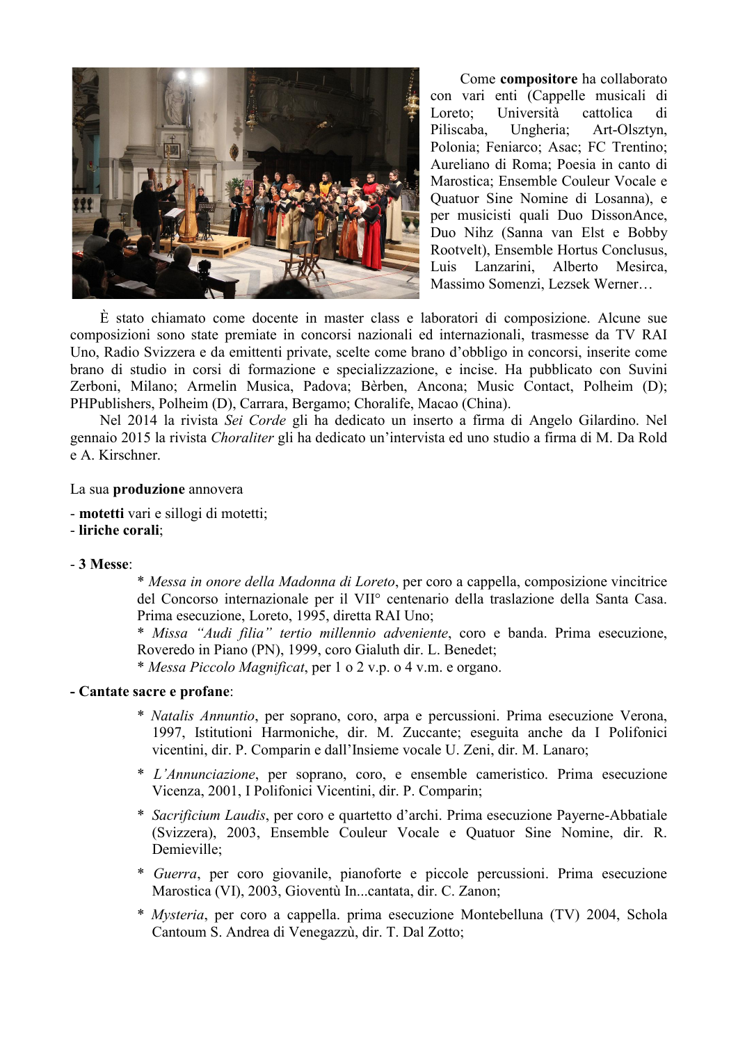

Come compositore ha collaborato con vari enti (Cappelle musicali di Loreto; Università cattolica di Piliscaba, Ungheria; Art-Olsztyn, Polonia; Feniarco; Asac; FC Trentino; Aureliano di Roma; Poesia in canto di Marostica; Ensemble Couleur Vocale e Quatuor Sine Nomine di Losanna), e per musicisti quali Duo DissonAnce, Duo Nihz (Sanna van Elst e Bobby Rootvelt), Ensemble Hortus Conclusus, Luis Lanzarini, Alberto Mesirca, Massimo Somenzi, Lezsek Werner…

È stato chiamato come docente in master class e laboratori di composizione. Alcune sue composizioni sono state premiate in concorsi nazionali ed internazionali, trasmesse da TV RAI Uno, Radio Svizzera e da emittenti private, scelte come brano d'obbligo in concorsi, inserite come brano di studio in corsi di formazione e specializzazione, e incise. Ha pubblicato con Suvini Zerboni, Milano; Armelin Musica, Padova; Bèrben, Ancona; Music Contact, Polheim (D); PHPublishers, Polheim (D), Carrara, Bergamo; Choralife, Macao (China).

Nel 2014 la rivista *Sei Corde* gli ha dedicato un inserto a firma di Angelo Gilardino. Nel gennaio 2015 la rivista *Choraliter* gli ha dedicato un'intervista ed uno studio a firma di M. Da Rold e A. Kirschner.

#### La sua produzione annovera

- motetti vari e sillogi di motetti;
- liriche corali;

### - 3 Messe:

\* *Messa in onore della Madonna di Loreto*, per coro a cappella, composizione vincitrice del Concorso internazionale per il VII° centenario della traslazione della Santa Casa. Prima esecuzione, Loreto, 1995, diretta RAI Uno;

\* *Missa "Audi filia" tertio millennio adveniente*, coro e banda. Prima esecuzione, Roveredo in Piano (PN), 1999, coro Gialuth dir. L. Benedet;

\* *Messa Piccolo Magnificat*, per 1 o 2 v.p. o 4 v.m. e organo.

#### - Cantate sacre e profane:

- \* *Natalis Annuntio*, per soprano, coro, arpa e percussioni. Prima esecuzione Verona, 1997, Istitutioni Harmoniche, dir. M. Zuccante; eseguita anche da I Polifonici vicentini, dir. P. Comparin e dall'Insieme vocale U. Zeni, dir. M. Lanaro;
- \* *L'Annunciazione*, per soprano, coro, e ensemble cameristico. Prima esecuzione Vicenza, 2001, I Polifonici Vicentini, dir. P. Comparin;
- \* *Sacrificium Laudis*, per coro e quartetto d'archi. Prima esecuzione Payerne-Abbatiale (Svizzera), 2003, Ensemble Couleur Vocale e Quatuor Sine Nomine, dir. R. Demieville;
- \* *Guerra*, per coro giovanile, pianoforte e piccole percussioni. Prima esecuzione Marostica (VI), 2003, Gioventù In...cantata, dir. C. Zanon;
- \* *Mysteria*, per coro a cappella. prima esecuzione Montebelluna (TV) 2004, Schola Cantoum S. Andrea di Venegazzù, dir. T. Dal Zotto;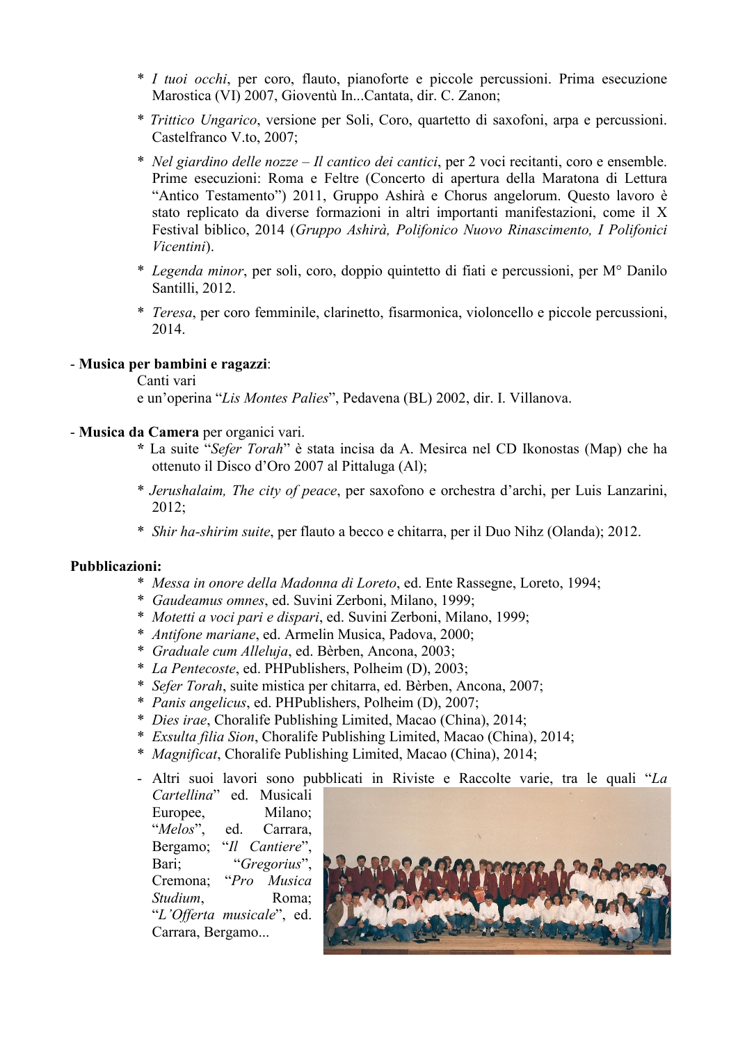- \* *I tuoi occhi*, per coro, flauto, pianoforte e piccole percussioni. Prima esecuzione Marostica (VI) 2007, Gioventù In...Cantata, dir. C. Zanon;
- \* *Trittico Ungarico*, versione per Soli, Coro, quartetto di saxofoni, arpa e percussioni. Castelfranco V.to, 2007;
- \* *Nel giardino delle nozze – Il cantico dei cantici*, per 2 voci recitanti, coro e ensemble. Prime esecuzioni: Roma e Feltre (Concerto di apertura della Maratona di Lettura "Antico Testamento") 2011, Gruppo Ashirà e Chorus angelorum. Questo lavoro è stato replicato da diverse formazioni in altri importanti manifestazioni, come il X Festival biblico, 2014 (*Gruppo Ashirà, Polifonico Nuovo Rinascimento, I Polifonici Vicentini*).
- \* *Legenda minor*, per soli, coro, doppio quintetto di fiati e percussioni, per M° Danilo Santilli, 2012.
- \* *Teresa*, per coro femminile, clarinetto, fisarmonica, violoncello e piccole percussioni, 2014.

## - Musica per bambini e ragazzi:

### Canti vari

e un'operina "*Lis Montes Palies*", Pedavena (BL) 2002, dir. I. Villanova.

- Musica da Camera per organici vari.
	- \* La suite "*Sefer Torah*" è stata incisa da A. Mesirca nel CD Ikonostas (Map) che ha ottenuto il Disco d'Oro 2007 al Pittaluga (Al);
	- \* *Jerushalaim, The city of peace*, per saxofono e orchestra d'archi, per Luis Lanzarini, 2012;
	- \* *Shir ha-shirim suite*, per flauto a becco e chitarra, per il Duo Nihz (Olanda); 2012.

## Pubblicazioni:

- \* *Messa in onore della Madonna di Loreto*, ed. Ente Rassegne, Loreto, 1994;
- \* *Gaudeamus omnes*, ed. Suvini Zerboni, Milano, 1999;
- \* *Motetti a voci pari e dispari*, ed. Suvini Zerboni, Milano, 1999;
- \* *Antifone mariane*, ed. Armelin Musica, Padova, 2000;
- \* *Graduale cum Alleluja*, ed. Bèrben, Ancona, 2003;
- \* *La Pentecoste*, ed. PHPublishers, Polheim (D), 2003;
- \* *Sefer Torah*, suite mistica per chitarra, ed. Bèrben, Ancona, 2007;
- \* *Panis angelicus*, ed. PHPublishers, Polheim (D), 2007;
- \* *Dies irae*, Choralife Publishing Limited, Macao (China), 2014;
- \* *Exsulta filia Sion*, Choralife Publishing Limited, Macao (China), 2014;
- \* *Magnificat*, Choralife Publishing Limited, Macao (China), 2014;
- Altri suoi lavori sono pubblicati in Riviste e Raccolte varie, tra le quali "*La*

*Cartellina*" ed. Musicali Europee, Milano; "*Melos*", ed. Carrara, Bergamo; "*Il Cantiere*", Bari; "*Gregorius*", Cremona; "*Pro Musica Studium*, Roma; "*L'Offerta musicale*", ed. Carrara, Bergamo...